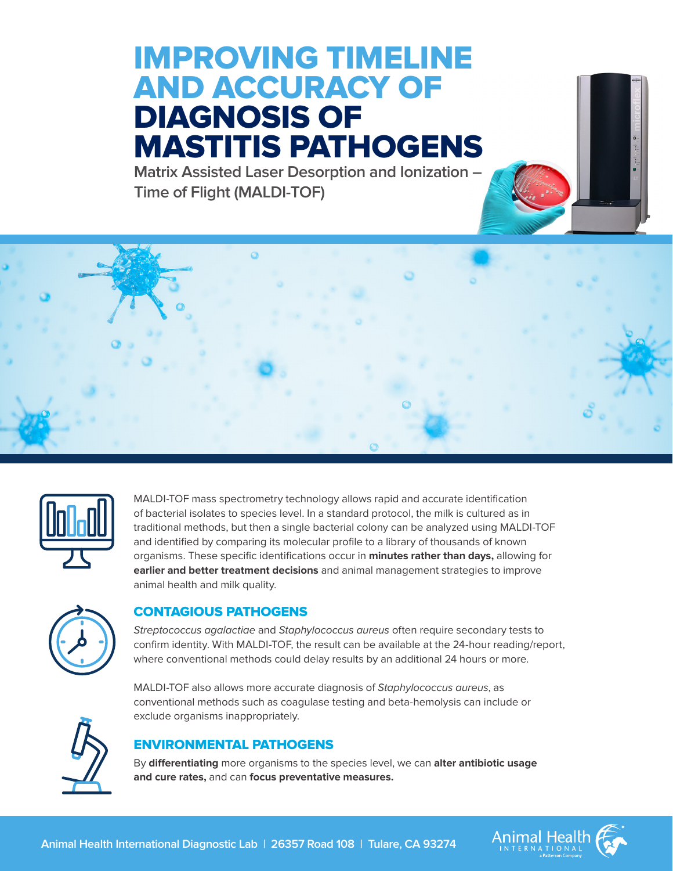# IMPROVING TIMELINE AND ACCURACY OF DIAGNOSIS OF MASTITIS PATHOGENS

**Matrix Assisted Laser Desorption and Ionization – Time of Flight (MALDI-TOF)**





MALDI-TOF mass spectrometry technology allows rapid and accurate identification of bacterial isolates to species level. In a standard protocol, the milk is cultured as in traditional methods, but then a single bacterial colony can be analyzed using MALDI-TOF and identified by comparing its molecular profile to a library of thousands of known organisms. These specific identifications occur in **minutes rather than days,** allowing for **earlier and better treatment decisions** and animal management strategies to improve animal health and milk quality.



### CONTAGIOUS PATHOGENS

*Streptococcus agalactiae* and *Staphylococcus aureus* often require secondary tests to confirm identity. With MALDI-TOF, the result can be available at the 24-hour reading/report, where conventional methods could delay results by an additional 24 hours or more.

MALDI-TOF also allows more accurate diagnosis of *Staphylococcus aureus*, as conventional methods such as coagulase testing and beta-hemolysis can include or exclude organisms inappropriately.



## ENVIRONMENTAL PATHOGENS

By **differentiating** more organisms to the species level, we can **alter antibiotic usage and cure rates,** and can **focus preventative measures.**